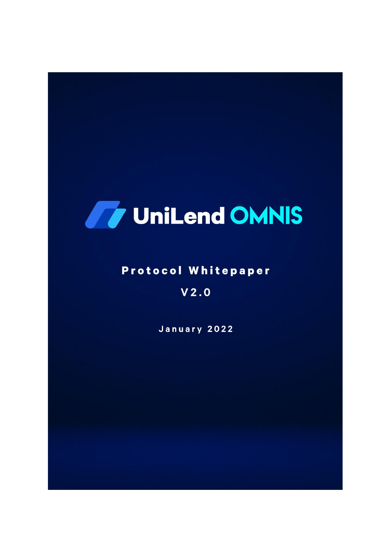# **Ty UniLend OMNIS**

## **Protocol Whitepaper**

## $V2.0$

January 2022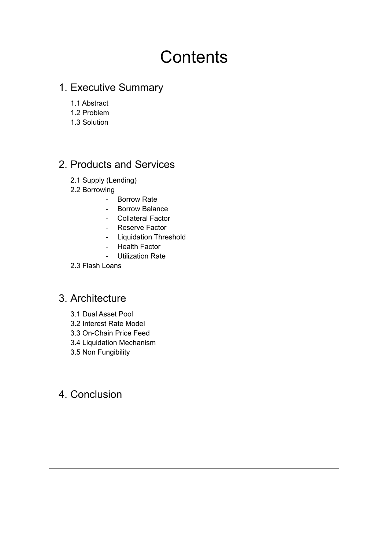## **Contents**

## 1. Executive Summary

- 1.1 Abstract
- 1.2 Problem
- 1.3 Solution

## 2. Products and Services

- 2.1 Supply (Lending)
- 2.2 Borrowing
	- Borrow Rate
	- Borrow Balance
	- Collateral Factor
	- Reserve Factor
	- Liquidation Threshold
	- Health Factor
	- Utilization Rate
- 2.3 Flash Loans

## 3. Architecture

- 3.1 Dual Asset Pool
- 3.2 Interest Rate Model
- 3.3 On-Chain Price Feed
- 3.4 Liquidation Mechanism
- 3.5 Non Fungibility

## 4. Conclusion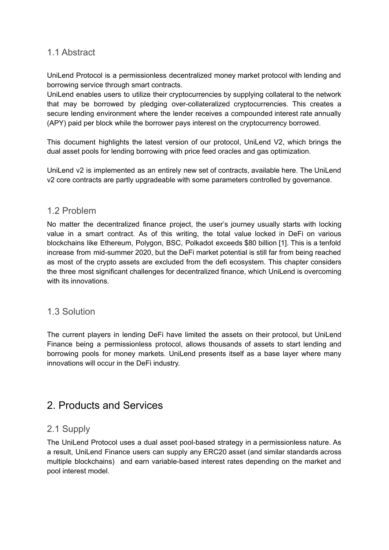#### 1.1 Abstract

UniLend Protocol is a permissionless decentralized money market protocol with lending and borrowing service through smart contracts.

UniLend enables users to utilize their cryptocurrencies by supplying collateral to the network that may be borrowed by pledging over-collateralized cryptocurrencies. This creates a secure lending environment where the lender receives a compounded interest rate annually (APY) paid per block while the borrower pays interest on the cryptocurrency borrowed.

This document highlights the latest version of our protocol, UniLend V2, which brings the dual asset pools for lending borrowing with price feed oracles and gas optimization.

UniLend v2 is implemented as an entirely new set of contracts, available here. The UniLend v2 core contracts are partly upgradeable with some parameters controlled by governance.

#### 1.2 Problem

No matter the decentralized finance project, the user's journey usually starts with locking value in a smart contract. As of this writing, the total value locked in DeFi on various blockchains like Ethereum, Polygon, BSC, Polkadot exceeds \$80 billion [1]. This is a tenfold increase from mid-summer 2020, but the DeFi market potential is still far from being reached as most of the crypto assets are excluded from the defi ecosystem. This chapter considers the three most significant challenges for decentralized finance, which UniLend is overcoming with its innovations.

#### 1.3 Solution

The current players in lending DeFi have limited the assets on their protocol, but UniLend Finance being a permissionless protocol, allows thousands of assets to start lending and borrowing pools for money markets. UniLend presents itself as a base layer where many innovations will occur in the DeFi industry.

### 2. Products and Services

#### 2.1 Supply

The UniLend Protocol uses a dual asset pool-based strategy in a permissionless nature. As a result, UniLend Finance users can supply any ERC20 asset (and similar standards across multiple blockchains) and earn variable-based interest rates depending on the market and pool interest model.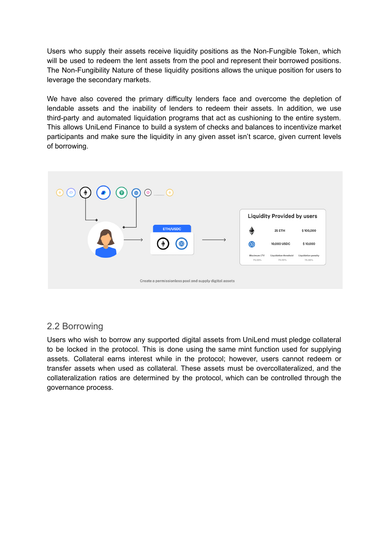Users who supply their assets receive liquidity positions as the Non-Fungible Token, which will be used to redeem the lent assets from the pool and represent their borrowed positions. The Non-Fungibility Nature of these liquidity positions allows the unique position for users to leverage the secondary markets.

We have also covered the primary difficulty lenders face and overcome the depletion of lendable assets and the inability of lenders to redeem their assets. In addition, we use third-party and automated liquidation programs that act as cushioning to the entire system. This allows UniLend Finance to build a system of checks and balances to incentivize market participants and make sure the liquidity in any given asset isn't scarce, given current levels of borrowing.



#### 2.2 Borrowing

Users who wish to borrow any supported digital assets from UniLend must pledge collateral to be locked in the protocol. This is done using the same mint function used for supplying assets. Collateral earns interest while in the protocol; however, users cannot redeem or transfer assets when used as collateral. These assets must be overcollateralized, and the collateralization ratios are determined by the protocol, which can be controlled through the governance process.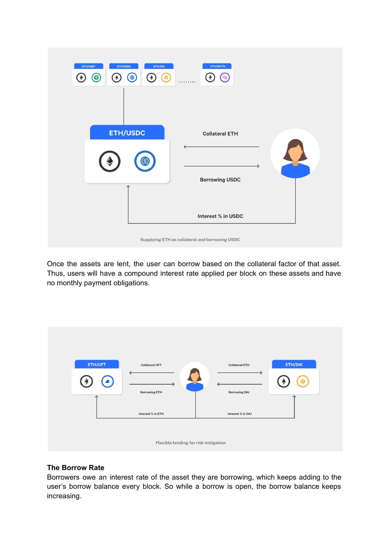| ETH/MATIC<br>ETH/USDC<br>ETH/DAI<br>ETH/USDT<br>$\Theta$<br>ဇ<br>$\circledcirc$<br>$\bullet$<br>$\blacklozenge$<br>$\circledcirc$<br>$\bigstar$<br>$\ddot{\bullet}$<br>. |                                             |
|--------------------------------------------------------------------------------------------------------------------------------------------------------------------------|---------------------------------------------|
| <b>ETH/USDC</b><br>(\$)                                                                                                                                                  | <b>Collateral ETH</b><br>→                  |
|                                                                                                                                                                          | <b>Borrowing USDC</b><br>Interest % in USDC |
| Supplying ETH as collateral and borrowing USDC                                                                                                                           |                                             |

Once the assets are lent, the user can borrow based on the collateral factor of that asset. Thus, users will have a compound interest rate applied per block on these assets and have no monthly payment obligations.



#### **The Borrow Rate**

Borrowers owe an interest rate of the asset they are borrowing, which keeps adding to the user's borrow balance every block. So while a borrow is open, the borrow balance keeps increasing.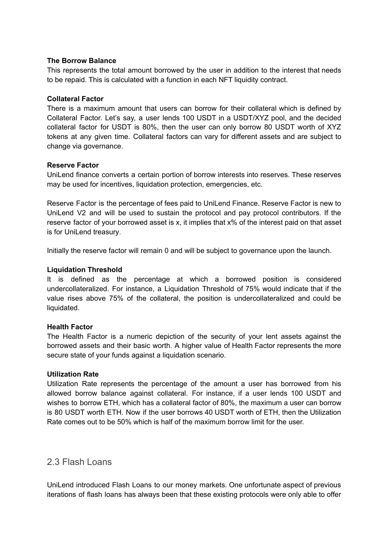#### **The Borrow Balance**

This represents the total amount borrowed by the user in addition to the interest that needs to be repaid. This is calculated with a function in each NFT liquidity contract.

#### **Collateral Factor**

There is a maximum amount that users can borrow for their collateral which is defined by Collateral Factor. Let's say, a user lends 100 USDT in a USDT/XYZ pool, and the decided collateral factor for USDT is 80%, then the user can only borrow 80 USDT worth of XYZ tokens at any given time. Collateral factors can vary for different assets and are subject to change via governance.

#### **Reserve Factor**

UniLend finance converts a certain portion of borrow interests into reserves. These reserves may be used for incentives, liquidation protection, emergencies, etc.

Reserve Factor is the percentage of fees paid to UniLend Finance. Reserve Factor is new to UniLend V2 and will be used to sustain the protocol and pay protocol contributors. If the reserve factor of your borrowed asset is x, it implies that x% of the interest paid on that asset is for UniLend treasury.

Initially the reserve factor will remain 0 and will be subject to governance upon the launch.

#### **Liquidation Threshold**

It is defined as the percentage at which a borrowed position is considered undercollateralized. For instance, a Liquidation Threshold of 75% would indicate that if the value rises above 75% of the collateral, the position is undercollateralized and could be liquidated.

#### **Health Factor**

The Health Factor is a numeric depiction of the security of your lent assets against the borrowed assets and their basic worth. A higher value of Health Factor represents the more secure state of your funds against a liquidation scenario.

#### **Utilization Rate**

Utilization Rate represents the percentage of the amount a user has borrowed from his allowed borrow balance against collateral. For instance, if a user lends 100 USDT and wishes to borrow ETH, which has a collateral factor of 80%, the maximum a user can borrow is 80 USDT worth ETH. Now if the user borrows 40 USDT worth of ETH, then the Utilization Rate comes out to be 50% which is half of the maximum borrow limit for the user.

#### 2.3 Flash Loans

UniLend introduced Flash Loans to our money markets. One unfortunate aspect of previous iterations of flash loans has always been that these existing protocols were only able to offer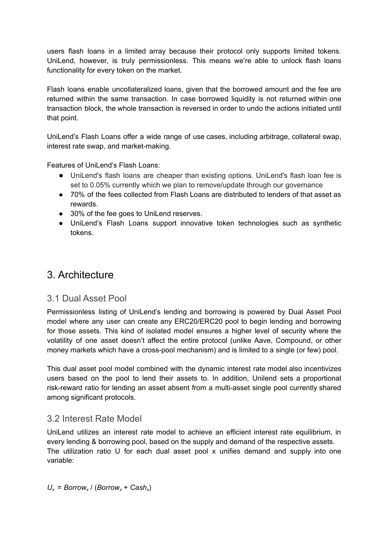users flash loans in a limited array because their protocol only supports limited tokens. UniLend, however, is truly permissionless. This means we're able to unlock flash loans functionality for every token on the market.

Flash loans enable uncollateralized loans, given that the borrowed amount and the fee are returned within the same transaction. In case borrowed liquidity is not returned within one transaction block, the whole transaction is reversed in order to undo the actions initiated until that point.

UniLend's Flash Loans offer a wide range of use cases, including arbitrage, collateral swap, interest rate swap, and market-making.

Features of UniLend's Flash Loans:

- UniLend's flash loans are cheaper than existing options. UniLend's flash loan fee is set to 0.05% currently which we plan to remove/update through our governance
- 70% of the fees collected from Flash Loans are distributed to lenders of that asset as rewards.
- 30% of the fee goes to UniLend reserves.
- UniLend's Flash Loans support innovative token technologies such as synthetic tokens.

## 3. Architecture

#### 3.1 Dual Asset Pool

Permissionless listing of UniLend's lending and borrowing is powered by Dual Asset Pool model where any user can create any ERC20/ERC20 pool to begin lending and borrowing for those assets. This kind of isolated model ensures a higher level of security where the volatility of one asset doesn't affect the entire protocol (unlike Aave, Compound, or other money markets which have a cross-pool mechanism) and is limited to a single (or few) pool.

This dual asset pool model combined with the dynamic interest rate model also incentivizes users based on the pool to lend their assets to. In addition, Unilend sets a proportional risk-reward ratio for lending an asset absent from a multi-asset single pool currently shared among significant protocols.

#### 3.2 Interest Rate Model

UniLend utilizes an interest rate model to achieve an efficient interest rate equilibrium, in every lending & borrowing pool, based on the supply and demand of the respective assets. The utilization ratio U for each dual asset pool x unifies demand and supply into one variable:

 $U_x$  = *Borrow<sub>x</sub>* / (*Borrow<sub>x</sub>* + *Cash<sub>x</sub>*)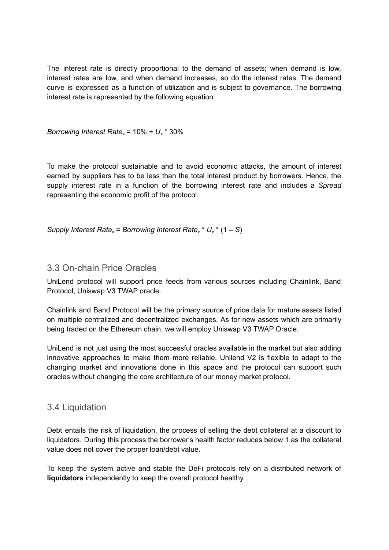The interest rate is directly proportional to the demand of assets; when demand is low, interest rates are low, and when demand increases, so do the interest rates. The demand curve is expressed as a function of utilization and is subject to governance. The borrowing interest rate is represented by the following equation:

*Borrowing Interest Rate<sub>x</sub>* =  $10\% + U_x * 30\%$ 

To make the protocol sustainable and to avoid economic attacks, the amount of interest earned by suppliers has to be less than the total interest product by borrowers. Hence, the supply interest rate in a function of the borrowing interest rate and includes a *Spread* representing the economic profit of the protocol:

*Supply* Interest  $Rate_x = Borrowing$  Interest  $Rate_x * U_x * (1 - S)$ 

#### 3.3 On-chain Price Oracles

UniLend protocol will support price feeds from various sources including Chainlink, Band Protocol, Uniswap V3 TWAP oracle.

Chainlink and Band Protocol will be the primary source of price data for mature assets listed on multiple centralized and decentralized exchanges. As for new assets which are primarily being traded on the Ethereum chain, we will employ Uniswap V3 TWAP Oracle.

UniLend is not just using the most successful oracles available in the market but also adding innovative approaches to make them more reliable. Unilend V2 is flexible to adapt to the changing market and innovations done in this space and the protocol can support such oracles without changing the core architecture of our money market protocol.

#### 3.4 Liquidation

Debt entails the risk of liquidation, the process of selling the debt collateral at a discount to liquidators. During this process the borrower's health factor reduces below 1 as the collateral value does not cover the proper loan/debt value.

To keep the system active and stable the DeFi protocols rely on a distributed network of **liquidators** independently to keep the overall protocol healthy.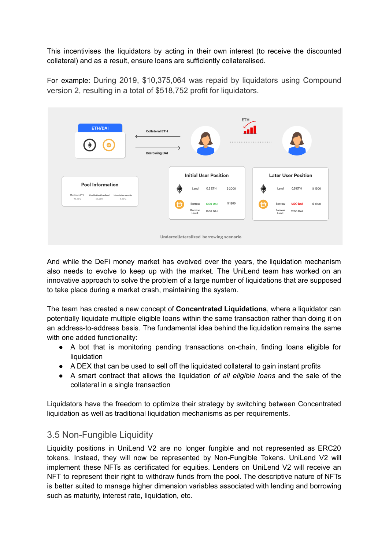This incentivises the liquidators by acting in their own interest (to receive the discounted collateral) and as a result, ensure loans are sufficiently collateralised.

For example: During 2019, \$10,375,064 was repaid by liquidators using Compound version 2, resulting in a total of \$518,752 profit for liquidators.



And while the DeFi money market has evolved over the years, the liquidation mechanism also needs to evolve to keep up with the market. The UniLend team has worked on an innovative approach to solve the problem of a large number of liquidations that are supposed to take place during a market crash, maintaining the system.

The team has created a new concept of **Concentrated Liquidations**, where a liquidator can potentially liquidate multiple eligible loans within the same transaction rather than doing it on an address-to-address basis. The fundamental idea behind the liquidation remains the same with one added functionality:

- A bot that is monitoring pending transactions on-chain, finding loans eligible for liquidation
- A DEX that can be used to sell off the liquidated collateral to gain instant profits
- A smart contract that allows the liquidation *of all eligible loans* and the sale of the collateral in a single transaction

Liquidators have the freedom to optimize their strategy by switching between Concentrated liquidation as well as traditional liquidation mechanisms as per requirements.

#### 3.5 Non-Fungible Liquidity

Liquidity positions in UniLend V2 are no longer fungible and not represented as ERC20 tokens. Instead, they will now be represented by Non-Fungible Tokens. UniLend V2 will implement these NFTs as certificated for equities. Lenders on UniLend V2 will receive an NFT to represent their right to withdraw funds from the pool. The descriptive nature of NFTs is better suited to manage higher dimension variables associated with lending and borrowing such as maturity, interest rate, liquidation, etc.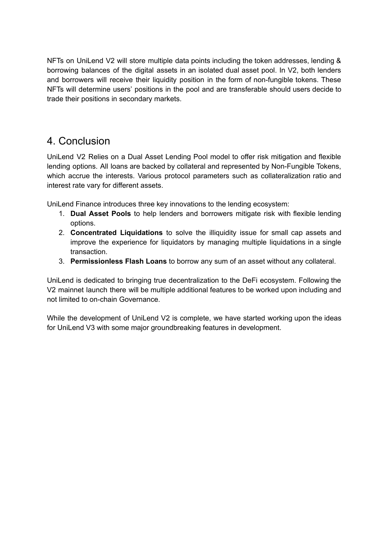NFTs on UniLend V2 will store multiple data points including the token addresses, lending & borrowing balances of the digital assets in an isolated dual asset pool. In V2, both lenders and borrowers will receive their liquidity position in the form of non-fungible tokens. These NFTs will determine users' positions in the pool and are transferable should users decide to trade their positions in secondary markets.

## 4. Conclusion

UniLend V2 Relies on a Dual Asset Lending Pool model to offer risk mitigation and flexible lending options. All loans are backed by collateral and represented by Non-Fungible Tokens, which accrue the interests. Various protocol parameters such as collateralization ratio and interest rate vary for different assets.

UniLend Finance introduces three key innovations to the lending ecosystem:

- 1. **Dual Asset Pools** to help lenders and borrowers mitigate risk with flexible lending options.
- 2. **Concentrated Liquidations** to solve the illiquidity issue for small cap assets and improve the experience for liquidators by managing multiple liquidations in a single transaction.
- 3. **Permissionless Flash Loans** to borrow any sum of an asset without any collateral.

UniLend is dedicated to bringing true decentralization to the DeFi ecosystem. Following the V2 mainnet launch there will be multiple additional features to be worked upon including and not limited to on-chain Governance.

While the development of UniLend V2 is complete, we have started working upon the ideas for UniLend V3 with some major groundbreaking features in development.